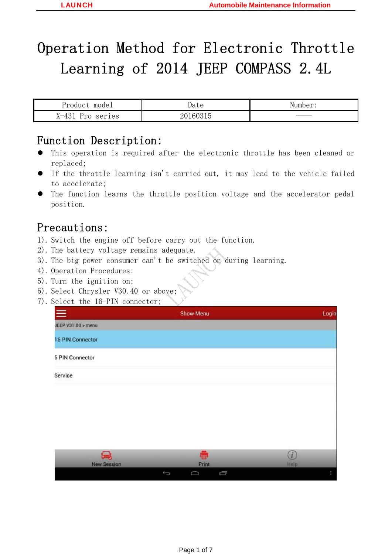# Operation Method for Electronic Throttle Learning of 2014 JEEP COMPASS 2.4L

| Product model    | Date     | Number: |
|------------------|----------|---------|
| X-431 Pro series | 20160315 |         |

## Function Description:

- This operation is required after the electronic throttle has been cleaned or replaced;
- $\bullet$  If the throttle learning isn't carried out, it may lead to the vehicle failed to accelerate;
- The function learns the throttle position voltage and the accelerator pedal position.

# Precautions:

- 1). Switch the engine off before carry out the function.
- 2). The battery voltage remains adequate.
- 3). The big power consumer can't be switched on during learning.
- 4). Operation Procedures:
- 5). Turn the ignition on;
- 6). Select Chrysler V30.40 or above;
- 7). Select the 16-PIN connector;

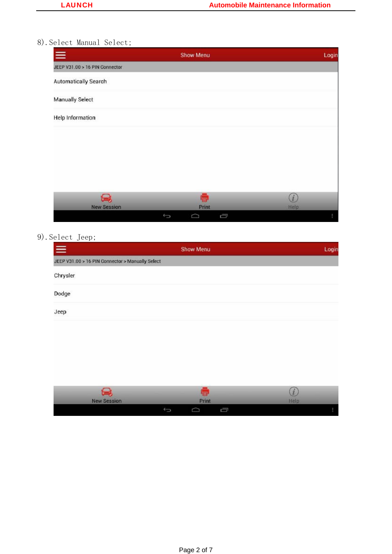## 8).Select Manual Select;

| $\equiv$                       | Show Menu             | Login       |
|--------------------------------|-----------------------|-------------|
| JEEP V31.00 > 16 PIN Connector |                       |             |
| Automatically Search           |                       |             |
| Manually Select                |                       |             |
| <b>Help Information</b>        |                       |             |
|                                |                       |             |
|                                |                       |             |
|                                |                       |             |
|                                |                       |             |
| پيخ<br><b>New Session</b>      | ē<br>Print            | (i)<br>Help |
|                                | Ū<br>$\bigoplus$<br>◠ |             |

## 9).Select Jeep;

| $\equiv$                                         | Show Menu | Login |
|--------------------------------------------------|-----------|-------|
| JEEP V31.00 > 16 PIN Connector > Manually Select |           |       |
| Chrysler                                         |           |       |
| Dodge                                            |           |       |
| Jeep                                             |           |       |

| <b>The Contract of the Contract of the Contract of the Contract of the Contract of the Contract of the Contract of the Contract of the Contract of the Contract of the Contract of the Contract of the Contract of the Contract </b><br>-<br><b>New Session</b> |   | Print  |   | i<br>Help |
|-----------------------------------------------------------------------------------------------------------------------------------------------------------------------------------------------------------------------------------------------------------------|---|--------|---|-----------|
|                                                                                                                                                                                                                                                                 | ▰ | $\sim$ | Ō |           |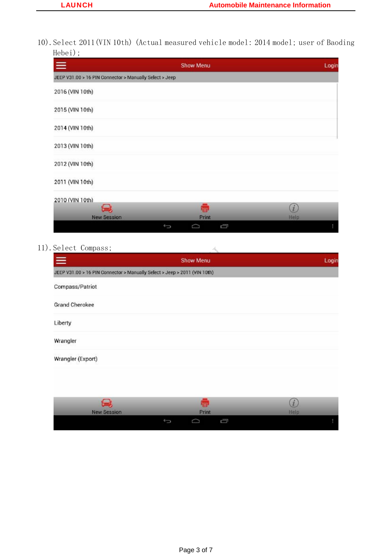10).Select 2011(VIN 10th) (Actual measured vehicle model: 2014 model; user of Baoding Hebei);

| $\equiv$                                                | Show Menu | Login          |
|---------------------------------------------------------|-----------|----------------|
| JEEP V31.00 > 16 PIN Connector > Manually Select > Jeep |           |                |
| 2016 (VIN 10th)                                         |           |                |
| 2015 (VIN 10th)                                         |           |                |
| 2014 (VIN 10th)                                         |           |                |
| 2013 (VIN 10th)                                         |           |                |
| 2012 (VIN 10th)                                         |           |                |
| 2011 (VIN 10th)                                         |           |                |
| 2010 (VIN 10th)                                         |           |                |
|                                                         | ē         | $\overline{1}$ |
| <b>New Session</b>                                      | Print     | <b>Help</b>    |
| Ĵ                                                       | Ū<br>◠    |                |

#### 11).Select Compass;

| Select Compass;                                                           |                  |       |
|---------------------------------------------------------------------------|------------------|-------|
| $\equiv$                                                                  | <b>Show Menu</b> | Login |
| JEEP V31.00 > 16 PIN Connector > Manually Select > Jeep > 2011 (VIN 10th) |                  |       |
| Compass/Patriot                                                           |                  |       |
| <b>Grand Cherokee</b>                                                     |                  |       |
| Liberty                                                                   |                  |       |
| Wrangler                                                                  |                  |       |
| Wrangler (Export)                                                         |                  |       |
|                                                                           |                  |       |
|                                                                           |                  |       |

| <b>New Session</b> | Print |  | ×<br>Help |  |
|--------------------|-------|--|-----------|--|
|                    |       |  |           |  |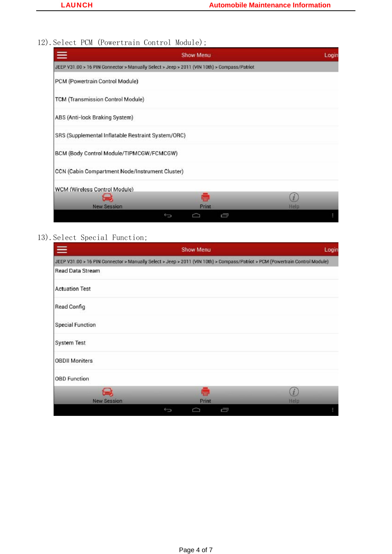# 12). Select PCM (Powertrain Control Module);

| $\equiv$                                                                                    | Show Menu | Login        |
|---------------------------------------------------------------------------------------------|-----------|--------------|
| JEEP V31.00 > 16 PIN Connector > Manually Select > Jeep > 2011 (VIN 10th) > Compass/Patriot |           |              |
| PCM (Powertrain Control Module)                                                             |           |              |
| TCM (Transmission Control Module)                                                           |           |              |
| ABS (Anti-lock Braking System)                                                              |           |              |
| SRS (Supplemental Inflatable Restraint System/ORC)                                          |           |              |
| BCM (Body Control Module/TIPMCGW/FCMCGW)                                                    |           |              |
| CCN (Cabin Compartment Node/Instrument Cluster)                                             |           |              |
| WCM (Wireless Control Module)                                                               |           |              |
|                                                                                             | ē         | $\mathbf{I}$ |
| <b>New Session</b>                                                                          | Print     | Help         |
|                                                                                             | Ū<br>⊖    |              |

#### 13).Select Special Function;

| $\equiv$                | Show Menu                                                                                                                     | Login |
|-------------------------|-------------------------------------------------------------------------------------------------------------------------------|-------|
|                         | JEEP V31.00 > 16 PIN Connector > Manually Select > Jeep > 2011 (VIN 10th) > Compass/Patriot > PCM (Powertrain Control Module) |       |
| Read Data Stream        |                                                                                                                               |       |
| <b>Actuation Test</b>   |                                                                                                                               |       |
| Read Config             |                                                                                                                               |       |
| <b>Special Function</b> |                                                                                                                               |       |
| System Test             |                                                                                                                               |       |
| <b>OBDII Moniters</b>   |                                                                                                                               |       |
| OBD Function            |                                                                                                                               |       |
| $\bullet$ and $\bullet$ | ē                                                                                                                             | ž     |
| <b>New Session</b>      | Print                                                                                                                         | Help  |
|                         | Ū<br>Û<br>≏                                                                                                                   |       |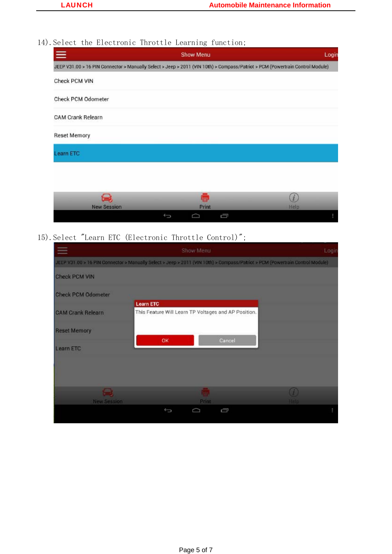## 14). Select the Electronic Throttle Learning function;

| JEEP V31.00 > 16 PIN Connector > Manually Select > Jeep > 2011 (VIN 10th) > Compass/Patriot > PCM (Powertrain Control Module)<br>$\boldsymbol{i}$ | $\equiv$            | Show Menu |  | Login |
|---------------------------------------------------------------------------------------------------------------------------------------------------|---------------------|-----------|--|-------|
|                                                                                                                                                   |                     |           |  |       |
|                                                                                                                                                   | Check PCM VIN       |           |  |       |
|                                                                                                                                                   | Check PCM Odometer  |           |  |       |
|                                                                                                                                                   | CAM Crank Relearn   |           |  |       |
|                                                                                                                                                   | <b>Reset Memory</b> |           |  |       |
|                                                                                                                                                   | Learn ETC           |           |  |       |
|                                                                                                                                                   |                     |           |  |       |
|                                                                                                                                                   |                     | ē         |  |       |
| <b>New Session</b><br>Print<br>Help                                                                                                               |                     |           |  |       |

15).Select "Learn ETC (Electronic Throttle Control)";

|                           | Show Menu                                                                                                                     | Login     |
|---------------------------|-------------------------------------------------------------------------------------------------------------------------------|-----------|
|                           | JEEP V31.00 > 16 PIN Connector > Manually Select > Jeep > 2011 (VIN 10th) > Compass/Patriot > PCM (Powertrain Control Module) |           |
| <b>Check PCM VIN</b>      |                                                                                                                               |           |
| <b>Check PCM Odometer</b> |                                                                                                                               |           |
| <b>CAM Crank Relearn</b>  | <b>Learn ETC</b><br>This Feature Will Learn TP Voltages and AP Position.                                                      |           |
| <b>Reset Memory</b>       |                                                                                                                               |           |
| Learn ETC                 | OK<br>Cancel                                                                                                                  |           |
|                           |                                                                                                                               |           |
|                           |                                                                                                                               |           |
| <b>COL</b>                | lta<br>Print                                                                                                                  | O<br>Help |
| New Session               | ſ<br>Û<br>≏                                                                                                                   |           |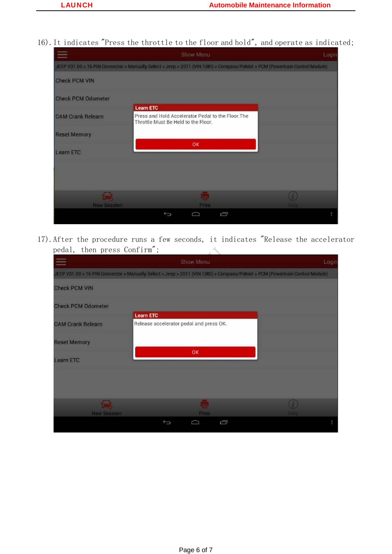16).It indicates "Press the throttle to the floor and hold", and operate as indicated;



17).After the procedure runs a few seconds, it indicates "Release the accelerator pedal, then press Confirm";  $\mathcal{A}_{\mathbf{q}}$ 

|                           | Show Menu                                                                                                                     | Login |
|---------------------------|-------------------------------------------------------------------------------------------------------------------------------|-------|
|                           | JEEP V31 00 > 16 PIN Connector > Manually Select > Jeep > 2011 (VIN 10th) > Compass/Patriot > PCM (Powertrain Control Module) |       |
| <b>Check PCM VIN</b>      |                                                                                                                               |       |
| <b>Check PCM Odometer</b> | <b>Learn ETC</b>                                                                                                              |       |
| <b>CAM Crank Relearn</b>  | Release accelerator pedal and press OK.                                                                                       |       |
| <b>Reset Memory</b>       |                                                                                                                               |       |
| <b>Learn ETC</b>          | <b>OK</b>                                                                                                                     |       |
|                           |                                                                                                                               |       |
|                           |                                                                                                                               |       |
| بكا                       | $\left( f\right)$                                                                                                             |       |
| <b>New Session</b>        | <b>Help</b><br><b>Print</b>                                                                                                   |       |
|                           | Ū<br>⊖<br>▭                                                                                                                   |       |